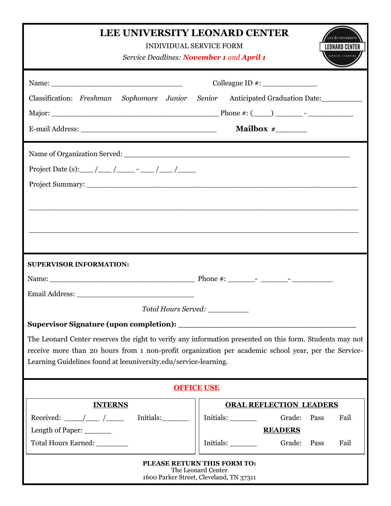| <b>LEE UNIVERSITY LEONARD CENTER</b><br><b>INDIVIDUAL SERVICE FORM</b><br>Service Deadlines: November 1 and April 1                                                                                                                                                                                                                                      | LEONARD CENTER                                                                                                    |
|----------------------------------------------------------------------------------------------------------------------------------------------------------------------------------------------------------------------------------------------------------------------------------------------------------------------------------------------------------|-------------------------------------------------------------------------------------------------------------------|
| Classification: Freshman Sophomore Junior Senior Anticipated Graduation Date:                                                                                                                                                                                                                                                                            |                                                                                                                   |
|                                                                                                                                                                                                                                                                                                                                                          |                                                                                                                   |
| <b>SUPERVISOR INFORMATION:</b><br>Total Hours Served: __________<br>The Leonard Center reserves the right to verify any information presented on this form. Students may not<br>receive more than 20 hours from 1 non-profit organization per academic school year, per the Service-<br>Learning Guidelines found at leeuniversity.edu/service-learning. |                                                                                                                   |
| <b>OFFICE USE</b>                                                                                                                                                                                                                                                                                                                                        |                                                                                                                   |
| <b>INTERNS</b><br>Received: $\frac{\ }{\ }$ / $\frac{\ }{\ }$<br>Initials:<br>Length of Paper:<br>Total Hours Earned: ________                                                                                                                                                                                                                           | <b>ORAL REFLECTION LEADERS</b><br>Grade:<br>Pass<br>Fail<br><b>READERS</b><br>Initials:<br>Grade:<br>Pass<br>Fail |
|                                                                                                                                                                                                                                                                                                                                                          | PLEASE RETURN THIS FORM TO:<br>The Leonard Center<br>1600 Parker Street, Cleveland, TN 37311                      |